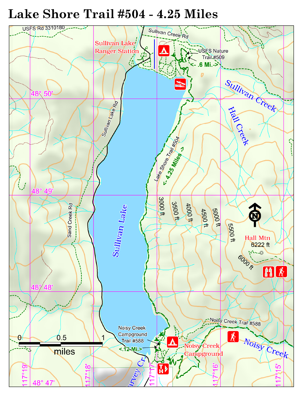# Lake Shore Trail #504 - 4.25 Miles